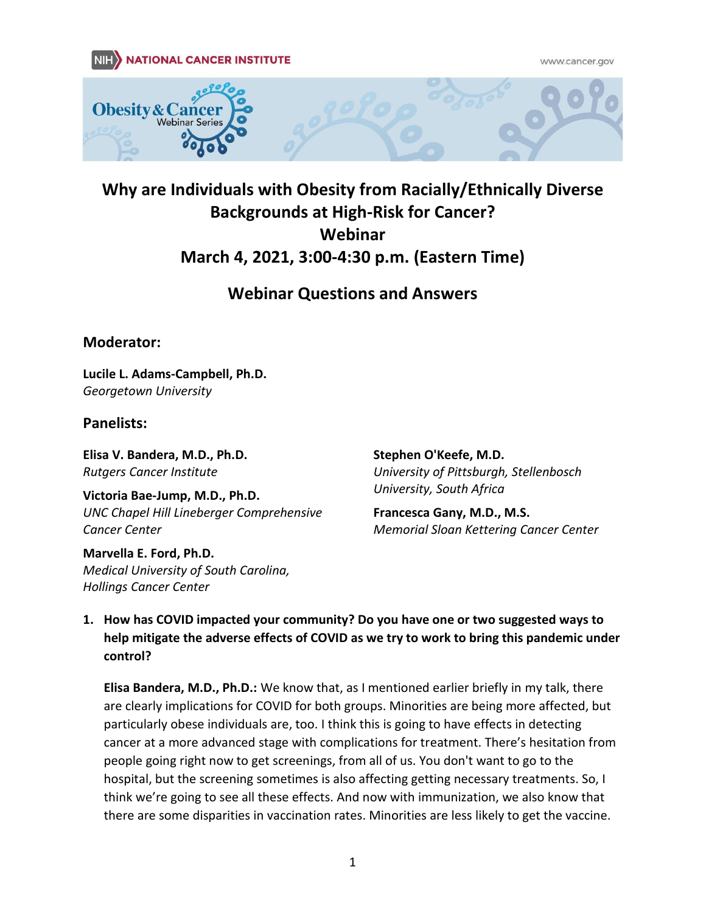www.cancer.gov



# **Why are Individuals with Obesity from Racially/Ethnically Diverse Backgrounds at High-Risk for Cancer? Webinar March 4, 2021, 3:00-4:30 p.m. (Eastern Time)**

# **Webinar Questions and Answers**

## **Moderator:**

**Lucile L. Adams-Campbell, Ph.D.** *Georgetown University*

### **Panelists:**

**Elisa V. Bandera, M.D., Ph.D.**  *Rutgers Cancer Institute* 

**Victoria Bae-Jump, M.D., Ph.D.**  *UNC Chapel Hill Lineberger Comprehensive Cancer Center*

**Marvella E. Ford, Ph.D.**  *Medical University of South Carolina, Hollings Cancer Center* 

**Stephen O'Keefe, M.D.**  *University of Pittsburgh, Stellenbosch University, South Africa* 

**Francesca Gany, M.D., M.S.**  *Memorial Sloan Kettering Cancer Center* 

### **1. How has COVID impacted your community? Do you have one or two suggested ways to help mitigate the adverse effects of COVID as we try to work to bring this pandemic under control?**

**Elisa Bandera, M.D., Ph.D.:** We know that, as I mentioned earlier briefly in my talk, there are clearly implications for COVID for both groups. Minorities are being more affected, but particularly obese individuals are, too. I think this is going to have effects in detecting cancer at a more advanced stage with complications for treatment. There's hesitation from people going right now to get screenings, from all of us. You don't want to go to the hospital, but the screening sometimes is also affecting getting necessary treatments. So, I think we're going to see all these effects. And now with immunization, we also know that there are some disparities in vaccination rates. Minorities are less likely to get the vaccine.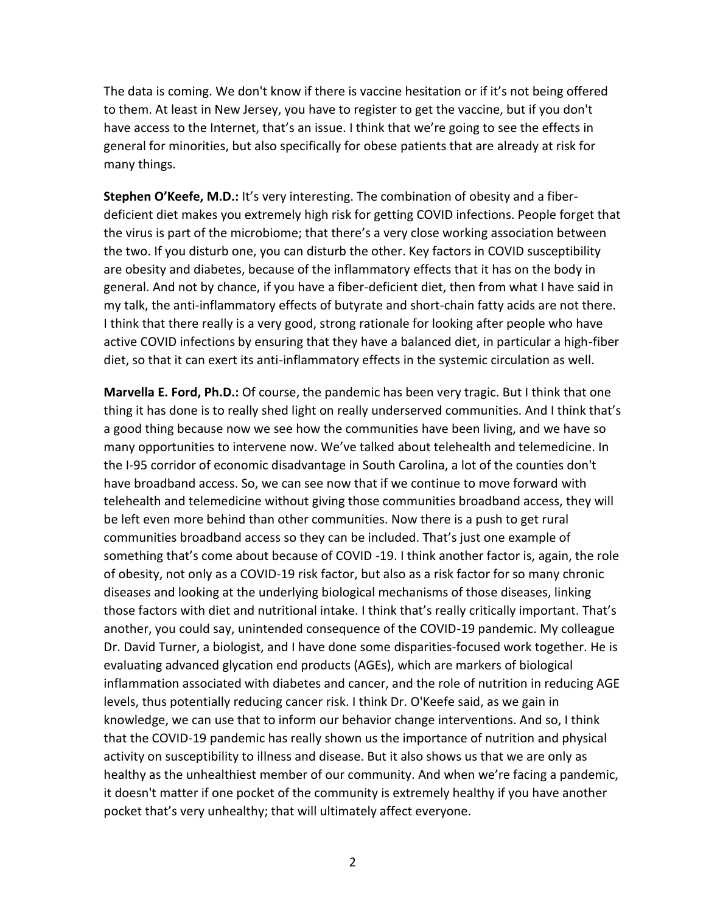The data is coming. We don't know if there is vaccine hesitation or if it's not being offered to them. At least in New Jersey, you have to register to get the vaccine, but if you don't have access to the Internet, that's an issue. I think that we're going to see the effects in general for minorities, but also specifically for obese patients that are already at risk for many things.

**Stephen O'Keefe, M.D.:** It's very interesting. The combination of obesity and a fiberdeficient diet makes you extremely high risk for getting COVID infections. People forget that the virus is part of the microbiome; that there's a very close working association between the two. If you disturb one, you can disturb the other. Key factors in COVID susceptibility are obesity and diabetes, because of the inflammatory effects that it has on the body in general. And not by chance, if you have a fiber-deficient diet, then from what I have said in my talk, the anti-inflammatory effects of butyrate and short-chain fatty acids are not there. I think that there really is a very good, strong rationale for looking after people who have active COVID infections by ensuring that they have a balanced diet, in particular a high-fiber diet, so that it can exert its anti-inflammatory effects in the systemic circulation as well.

**Marvella E. Ford, Ph.D.:** Of course, the pandemic has been very tragic. But I think that one thing it has done is to really shed light on really underserved communities. And I think that's a good thing because now we see how the communities have been living, and we have so many opportunities to intervene now. We've talked about telehealth and telemedicine. In the I-95 corridor of economic disadvantage in South Carolina, a lot of the counties don't have broadband access. So, we can see now that if we continue to move forward with telehealth and telemedicine without giving those communities broadband access, they will be left even more behind than other communities. Now there is a push to get rural communities broadband access so they can be included. That's just one example of something that's come about because of COVID -19. I think another factor is, again, the role of obesity, not only as a COVID-19 risk factor, but also as a risk factor for so many chronic diseases and looking at the underlying biological mechanisms of those diseases, linking those factors with diet and nutritional intake. I think that's really critically important. That's another, you could say, unintended consequence of the COVID-19 pandemic. My colleague Dr. David Turner, a biologist, and I have done some disparities-focused work together. He is evaluating advanced glycation end products (AGEs), which are markers of biological inflammation associated with diabetes and cancer, and the role of nutrition in reducing AGE levels, thus potentially reducing cancer risk. I think Dr. O'Keefe said, as we gain in knowledge, we can use that to inform our behavior change interventions. And so, I think that the COVID-19 pandemic has really shown us the importance of nutrition and physical activity on susceptibility to illness and disease. But it also shows us that we are only as healthy as the unhealthiest member of our community. And when we're facing a pandemic, it doesn't matter if one pocket of the community is extremely healthy if you have another pocket that's very unhealthy; that will ultimately affect everyone.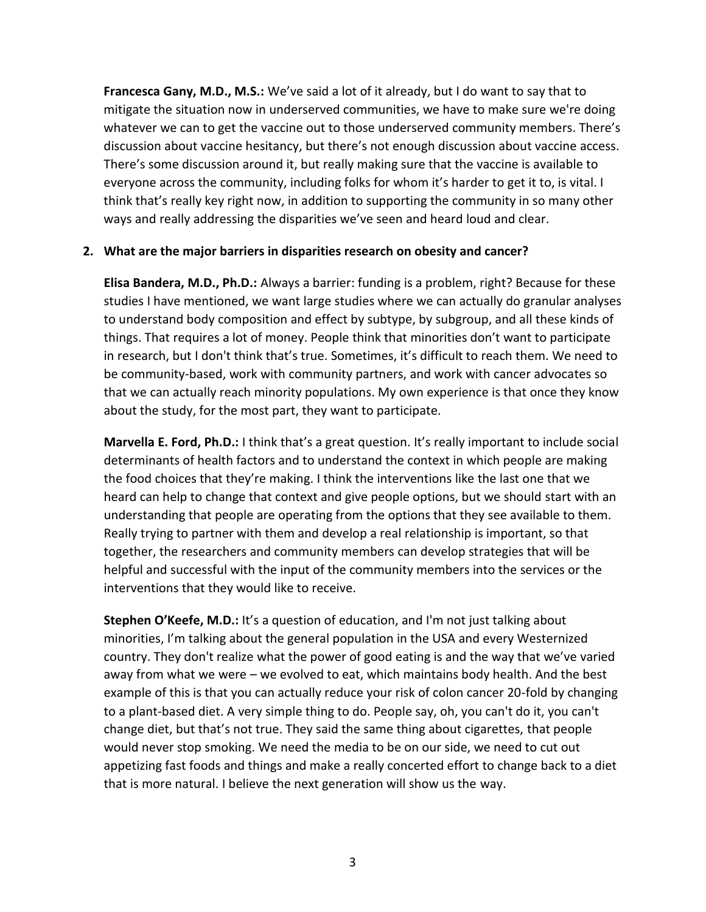**Francesca Gany, M.D., M.S.:** We've said a lot of it already, but I do want to say that to mitigate the situation now in underserved communities, we have to make sure we're doing whatever we can to get the vaccine out to those underserved community members. There's discussion about vaccine hesitancy, but there's not enough discussion about vaccine access. There's some discussion around it, but really making sure that the vaccine is available to everyone across the community, including folks for whom it's harder to get it to, is vital. I think that's really key right now, in addition to supporting the community in so many other ways and really addressing the disparities we've seen and heard loud and clear.

#### **2. What are the major barriers in disparities research on obesity and cancer?**

**Elisa Bandera, M.D., Ph.D.:** Always a barrier: funding is a problem, right? Because for these studies I have mentioned, we want large studies where we can actually do granular analyses to understand body composition and effect by subtype, by subgroup, and all these kinds of things. That requires a lot of money. People think that minorities don't want to participate in research, but I don't think that's true. Sometimes, it's difficult to reach them. We need to be community-based, work with community partners, and work with cancer advocates so that we can actually reach minority populations. My own experience is that once they know about the study, for the most part, they want to participate.

**Marvella E. Ford, Ph.D.:** I think that's a great question. It's really important to include social determinants of health factors and to understand the context in which people are making the food choices that they're making. I think the interventions like the last one that we heard can help to change that context and give people options, but we should start with an understanding that people are operating from the options that they see available to them. Really trying to partner with them and develop a real relationship is important, so that together, the researchers and community members can develop strategies that will be helpful and successful with the input of the community members into the services or the interventions that they would like to receive.

**Stephen O'Keefe, M.D.:** It's a question of education, and I'm not just talking about minorities, I'm talking about the general population in the USA and every Westernized country. They don't realize what the power of good eating is and the way that we've varied away from what we were – we evolved to eat, which maintains body health. And the best example of this is that you can actually reduce your risk of colon cancer 20-fold by changing to a plant-based diet. A very simple thing to do. People say, oh, you can't do it, you can't change diet, but that's not true. They said the same thing about cigarettes, that people would never stop smoking. We need the media to be on our side, we need to cut out appetizing fast foods and things and make a really concerted effort to change back to a diet that is more natural. I believe the next generation will show us the way.